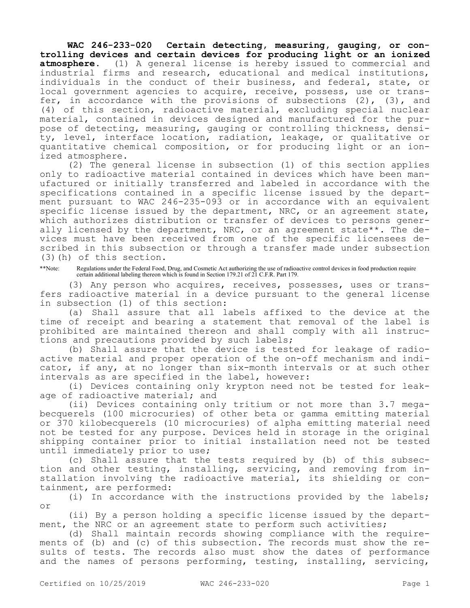**WAC 246-233-020 Certain detecting, measuring, gauging, or controlling devices and certain devices for producing light or an ionized atmosphere.** (1) A general license is hereby issued to commercial and industrial firms and research, educational and medical institutions, individuals in the conduct of their business, and federal, state, or local government agencies to acquire, receive, possess, use or transfer, in accordance with the provisions of subsections (2), (3), and (4) of this section, radioactive material, excluding special nuclear material, contained in devices designed and manufactured for the purpose of detecting, measuring, gauging or controlling thickness, density, level, interface location, radiation, leakage, or qualitative or quantitative chemical composition, or for producing light or an ionized atmosphere.

(2) The general license in subsection (1) of this section applies only to radioactive material contained in devices which have been manufactured or initially transferred and labeled in accordance with the specifications contained in a specific license issued by the department pursuant to WAC 246-235-093 or in accordance with an equivalent specific license issued by the department, NRC, or an agreement state, which authorizes distribution or transfer of devices to persons generally licensed by the department, NRC, or an agreement state\*\*. The devices must have been received from one of the specific licensees described in this subsection or through a transfer made under subsection (3)(h) of this section.

\*\*Note: Regulations under the Federal Food, Drug, and Cosmetic Act authorizing the use of radioactive control devices in food production require certain additional labeling thereon which is found in Section 179.21 of 21 C.F.R. Part 179.

(3) Any person who acquires, receives, possesses, uses or transfers radioactive material in a device pursuant to the general license in subsection (1) of this section:

(a) Shall assure that all labels affixed to the device at the time of receipt and bearing a statement that removal of the label is prohibited are maintained thereon and shall comply with all instructions and precautions provided by such labels;

(b) Shall assure that the device is tested for leakage of radioactive material and proper operation of the on-off mechanism and indicator, if any, at no longer than six-month intervals or at such other intervals as are specified in the label, however:

(i) Devices containing only krypton need not be tested for leakage of radioactive material; and

(ii) Devices containing only tritium or not more than 3.7 megabecquerels (100 microcuries) of other beta or gamma emitting material or 370 kilobecquerels (10 microcuries) of alpha emitting material need not be tested for any purpose. Devices held in storage in the original shipping container prior to initial installation need not be tested until immediately prior to use;

(c) Shall assure that the tests required by (b) of this subsection and other testing, installing, servicing, and removing from installation involving the radioactive material, its shielding or containment, are performed:

(i) In accordance with the instructions provided by the labels; or

(ii) By a person holding a specific license issued by the department, the NRC or an agreement state to perform such activities;

(d) Shall maintain records showing compliance with the requirements of (b) and (c) of this subsection. The records must show the results of tests. The records also must show the dates of performance and the names of persons performing, testing, installing, servicing,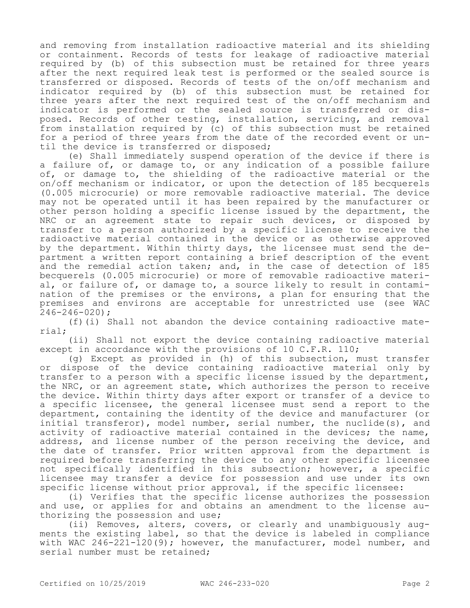and removing from installation radioactive material and its shielding or containment. Records of tests for leakage of radioactive material required by (b) of this subsection must be retained for three years after the next required leak test is performed or the sealed source is transferred or disposed. Records of tests of the on/off mechanism and indicator required by (b) of this subsection must be retained for three years after the next required test of the on/off mechanism and indicator is performed or the sealed source is transferred or disposed. Records of other testing, installation, servicing, and removal from installation required by (c) of this subsection must be retained for a period of three years from the date of the recorded event or until the device is transferred or disposed;

(e) Shall immediately suspend operation of the device if there is a failure of, or damage to, or any indication of a possible failure of, or damage to, the shielding of the radioactive material or the on/off mechanism or indicator, or upon the detection of 185 becquerels (0.005 microcurie) or more removable radioactive material. The device may not be operated until it has been repaired by the manufacturer or other person holding a specific license issued by the department, the NRC or an agreement state to repair such devices, or disposed by transfer to a person authorized by a specific license to receive the radioactive material contained in the device or as otherwise approved by the department. Within thirty days, the licensee must send the department a written report containing a brief description of the event and the remedial action taken; and, in the case of detection of 185 becquerels (0.005 microcurie) or more of removable radioactive material, or failure of, or damage to, a source likely to result in contamination of the premises or the environs, a plan for ensuring that the premises and environs are acceptable for unrestricted use (see WAC 246-246-020);

(f)(i) Shall not abandon the device containing radioactive material;

(ii) Shall not export the device containing radioactive material except in accordance with the provisions of 10 C.F.R. 110;

(g) Except as provided in (h) of this subsection, must transfer or dispose of the device containing radioactive material only by transfer to a person with a specific license issued by the department, the NRC, or an agreement state, which authorizes the person to receive the device. Within thirty days after export or transfer of a device to a specific licensee, the general licensee must send a report to the department, containing the identity of the device and manufacturer (or initial transferor), model number, serial number, the nuclide(s), and activity of radioactive material contained in the devices; the name, address, and license number of the person receiving the device, and the date of transfer. Prior written approval from the department is required before transferring the device to any other specific licensee not specifically identified in this subsection; however, a specific licensee may transfer a device for possession and use under its own specific license without prior approval, if the specific licensee:

(i) Verifies that the specific license authorizes the possession and use, or applies for and obtains an amendment to the license authorizing the possession and use;

(ii) Removes, alters, covers, or clearly and unambiguously augments the existing label, so that the device is labeled in compliance with WAC 246-221-120(9); however, the manufacturer, model number, and serial number must be retained;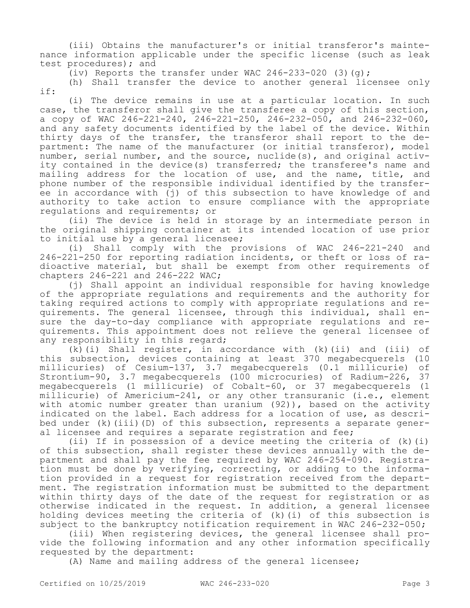(iii) Obtains the manufacturer's or initial transferor's maintenance information applicable under the specific license (such as leak test procedures); and

(iv) Reports the transfer under WAC  $246-233-020$  (3)(q);

(h) Shall transfer the device to another general licensee only if:

(i) The device remains in use at a particular location. In such case, the transferor shall give the transferee a copy of this section, a copy of WAC  $246 - 221 - 240$ ,  $246 - 221 - 250$ ,  $246 - 232 - 050$ , and  $246 - 232 - 060$ , and any safety documents identified by the label of the device. Within thirty days of the transfer, the transferor shall report to the department: The name of the manufacturer (or initial transferor), model number, serial number, and the source, nuclide(s), and original activity contained in the device(s) transferred; the transferee's name and mailing address for the location of use, and the name, title, and phone number of the responsible individual identified by the transferee in accordance with (j) of this subsection to have knowledge of and authority to take action to ensure compliance with the appropriate regulations and requirements; or

(ii) The device is held in storage by an intermediate person in the original shipping container at its intended location of use prior to initial use by a general licensee;

(i) Shall comply with the provisions of WAC 246-221-240 and 246-221-250 for reporting radiation incidents, or theft or loss of radioactive material, but shall be exempt from other requirements of chapters 246-221 and 246-222 WAC;

(j) Shall appoint an individual responsible for having knowledge of the appropriate regulations and requirements and the authority for taking required actions to comply with appropriate regulations and requirements. The general licensee, through this individual, shall ensure the day-to-day compliance with appropriate regulations and requirements. This appointment does not relieve the general licensee of any responsibility in this regard;

(k)(i) Shall register, in accordance with (k)(ii) and (iii) of this subsection, devices containing at least 370 megabecquerels (10 millicuries) of Cesium-137, 3.7 megabecquerels (0.1 millicurie) of Strontium-90, 3.7 megabecquerels (100 microcuries) of Radium-226, 37 megabecquerels (1 millicurie) of Cobalt-60, or 37 megabecquerels (1 millicurie) of Americium-241, or any other transuranic (i.e., element with atomic number greater than uranium (92)), based on the activity indicated on the label. Each address for a location of use, as described under (k)(iii)(D) of this subsection, represents a separate general licensee and requires a separate registration and fee;

(ii) If in possession of a device meeting the criteria of (k)(i) of this subsection, shall register these devices annually with the department and shall pay the fee required by WAC 246-254-090. Registration must be done by verifying, correcting, or adding to the information provided in a request for registration received from the department. The registration information must be submitted to the department within thirty days of the date of the request for registration or as otherwise indicated in the request. In addition, a general licensee holding devices meeting the criteria of (k)(i) of this subsection is subject to the bankruptcy notification requirement in WAC 246-232-050;

(iii) When registering devices, the general licensee shall provide the following information and any other information specifically requested by the department:

(A) Name and mailing address of the general licensee;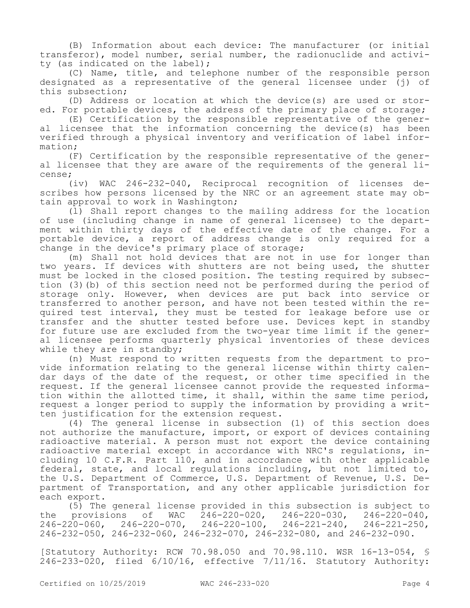(B) Information about each device: The manufacturer (or initial transferor), model number, serial number, the radionuclide and activity (as indicated on the label);

(C) Name, title, and telephone number of the responsible person designated as a representative of the general licensee under (j) of this subsection;

(D) Address or location at which the device(s) are used or stored. For portable devices, the address of the primary place of storage;

(E) Certification by the responsible representative of the general licensee that the information concerning the device(s) has been verified through a physical inventory and verification of label information;

(F) Certification by the responsible representative of the general licensee that they are aware of the requirements of the general license;

(iv) WAC 246-232-040, Reciprocal recognition of licenses describes how persons licensed by the NRC or an agreement state may obtain approval to work in Washington;

(l) Shall report changes to the mailing address for the location of use (including change in name of general licensee) to the department within thirty days of the effective date of the change. For a portable device, a report of address change is only required for a change in the device's primary place of storage;

(m) Shall not hold devices that are not in use for longer than two years. If devices with shutters are not being used, the shutter must be locked in the closed position. The testing required by subsection (3)(b) of this section need not be performed during the period of storage only. However, when devices are put back into service or transferred to another person, and have not been tested within the required test interval, they must be tested for leakage before use or transfer and the shutter tested before use. Devices kept in standby for future use are excluded from the two-year time limit if the general licensee performs quarterly physical inventories of these devices while they are in standby;

(n) Must respond to written requests from the department to provide information relating to the general license within thirty calendar days of the date of the request, or other time specified in the request. If the general licensee cannot provide the requested information within the allotted time, it shall, within the same time period, request a longer period to supply the information by providing a written justification for the extension request.

(4) The general license in subsection (1) of this section does not authorize the manufacture, import, or export of devices containing radioactive material. A person must not export the device containing radioactive material except in accordance with NRC's regulations, including 10 C.F.R. Part 110, and in accordance with other applicable federal, state, and local regulations including, but not limited to, the U.S. Department of Commerce, U.S. Department of Revenue, U.S. Department of Transportation, and any other applicable jurisdiction for each export.

(5) The general license provided in this subsection is subject to provisions of  $WAC = 246-220-020$ ,  $246-220-030$ ,  $246-220-040$ , the provisions of WAC 246-220-020, 246-220-030, 246-220-040, 246-220-060, 246-220-070, 246-220-100, 246-221-240, 246-221-250, 246-232-050, 246-232-060, 246-232-070, 246-232-080, and 246-232-090.

[Statutory Authority: RCW 70.98.050 and 70.98.110. WSR 16-13-054, § 246-233-020, filed 6/10/16, effective 7/11/16. Statutory Authority: